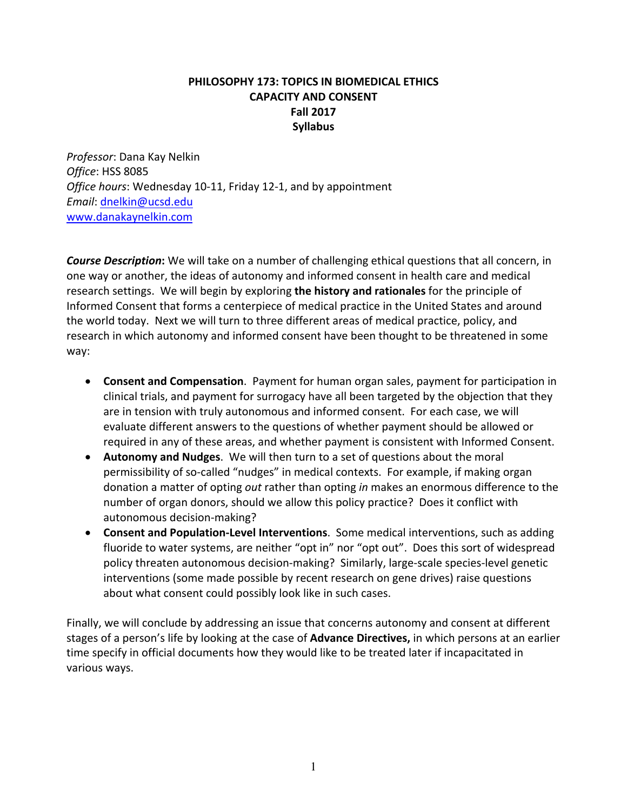## **PHILOSOPHY 173: TOPICS IN BIOMEDICAL ETHICS CAPACITY AND CONSENT Fall 2017 Syllabus**

*Professor*: Dana Kay Nelkin *Office*: HSS 8085 Office hours: Wednesday 10-11, Friday 12-1, and by appointment *Email*: dnelkin@ucsd.edu www.danakaynelkin.com

**Course Description:** We will take on a number of challenging ethical questions that all concern, in one way or another, the ideas of autonomy and informed consent in health care and medical research settings. We will begin by exploring **the history and rationales** for the principle of Informed Consent that forms a centerpiece of medical practice in the United States and around the world today. Next we will turn to three different areas of medical practice, policy, and research in which autonomy and informed consent have been thought to be threatened in some way:

- **Consent and Compensation**. Payment for human organ sales, payment for participation in clinical trials, and payment for surrogacy have all been targeted by the objection that they are in tension with truly autonomous and informed consent. For each case, we will evaluate different answers to the questions of whether payment should be allowed or required in any of these areas, and whether payment is consistent with Informed Consent.
- **Autonomy and Nudges.** We will then turn to a set of questions about the moral permissibility of so-called "nudges" in medical contexts. For example, if making organ donation a matter of opting *out* rather than opting *in* makes an enormous difference to the number of organ donors, should we allow this policy practice? Does it conflict with autonomous decision-making?
- **Consent and Population-Level Interventions**. Some medical interventions, such as adding fluoride to water systems, are neither "opt in" nor "opt out". Does this sort of widespread policy threaten autonomous decision-making? Similarly, large-scale species-level genetic interventions (some made possible by recent research on gene drives) raise questions about what consent could possibly look like in such cases.

Finally, we will conclude by addressing an issue that concerns autonomy and consent at different stages of a person's life by looking at the case of **Advance Directives**, in which persons at an earlier time specify in official documents how they would like to be treated later if incapacitated in various ways.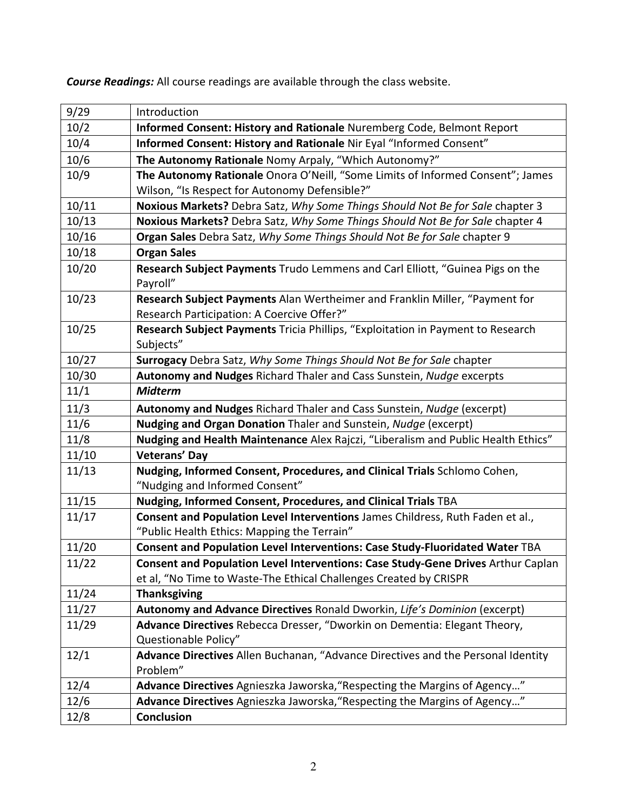| 9/29  | Introduction                                                                                                              |
|-------|---------------------------------------------------------------------------------------------------------------------------|
| 10/2  | Informed Consent: History and Rationale Nuremberg Code, Belmont Report                                                    |
| 10/4  | Informed Consent: History and Rationale Nir Eyal "Informed Consent"                                                       |
| 10/6  | The Autonomy Rationale Nomy Arpaly, "Which Autonomy?"                                                                     |
| 10/9  | The Autonomy Rationale Onora O'Neill, "Some Limits of Informed Consent"; James                                            |
|       | Wilson, "Is Respect for Autonomy Defensible?"                                                                             |
| 10/11 | Noxious Markets? Debra Satz, Why Some Things Should Not Be for Sale chapter 3                                             |
| 10/13 | Noxious Markets? Debra Satz, Why Some Things Should Not Be for Sale chapter 4                                             |
| 10/16 | Organ Sales Debra Satz, Why Some Things Should Not Be for Sale chapter 9                                                  |
| 10/18 | <b>Organ Sales</b>                                                                                                        |
| 10/20 | Research Subject Payments Trudo Lemmens and Carl Elliott, "Guinea Pigs on the<br>Payroll"                                 |
| 10/23 | Research Subject Payments Alan Wertheimer and Franklin Miller, "Payment for<br>Research Participation: A Coercive Offer?" |
| 10/25 | Research Subject Payments Tricia Phillips, "Exploitation in Payment to Research<br>Subjects"                              |
| 10/27 | Surrogacy Debra Satz, Why Some Things Should Not Be for Sale chapter                                                      |
| 10/30 | Autonomy and Nudges Richard Thaler and Cass Sunstein, Nudge excerpts                                                      |
| 11/1  | <b>Midterm</b>                                                                                                            |
| 11/3  | Autonomy and Nudges Richard Thaler and Cass Sunstein, Nudge (excerpt)                                                     |
| 11/6  | <b>Nudging and Organ Donation</b> Thaler and Sunstein, Nudge (excerpt)                                                    |
| 11/8  | Nudging and Health Maintenance Alex Rajczi, "Liberalism and Public Health Ethics"                                         |
| 11/10 | <b>Veterans' Day</b>                                                                                                      |
| 11/13 | Nudging, Informed Consent, Procedures, and Clinical Trials Schlomo Cohen,<br>"Nudging and Informed Consent"               |
| 11/15 | Nudging, Informed Consent, Procedures, and Clinical Trials TBA                                                            |
| 11/17 | Consent and Population Level Interventions James Childress, Ruth Faden et al.,                                            |
|       | "Public Health Ethics: Mapping the Terrain"                                                                               |
| 11/20 | Consent and Population Level Interventions: Case Study-Fluoridated Water TBA                                              |
| 11/22 | Consent and Population Level Interventions: Case Study-Gene Drives Arthur Caplan                                          |
|       | et al, "No Time to Waste-The Ethical Challenges Created by CRISPR                                                         |
| 11/24 | <b>Thanksgiving</b>                                                                                                       |
| 11/27 | Autonomy and Advance Directives Ronald Dworkin, Life's Dominion (excerpt)                                                 |
| 11/29 | Advance Directives Rebecca Dresser, "Dworkin on Dementia: Elegant Theory,                                                 |
|       | Questionable Policy"                                                                                                      |
| 12/1  | Advance Directives Allen Buchanan, "Advance Directives and the Personal Identity                                          |
|       | Problem"                                                                                                                  |
| 12/4  | Advance Directives Agnieszka Jaworska, "Respecting the Margins of Agency"                                                 |
| 12/6  | Advance Directives Agnieszka Jaworska, "Respecting the Margins of Agency"                                                 |
| 12/8  | Conclusion                                                                                                                |

**Course Readings:** All course readings are available through the class website.